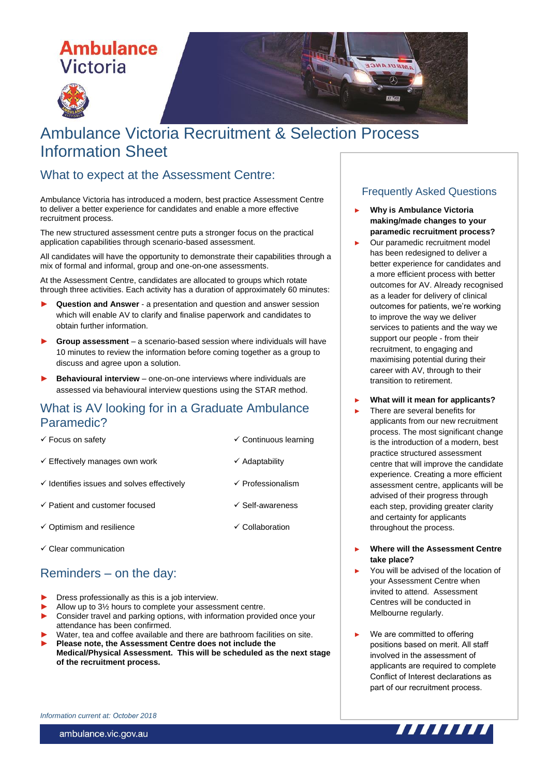# **Ambulance Victoria**





### What to expect at the Assessment Centre:

Ambulance Victoria has introduced a modern, best practice Assessment Centre to deliver a better experience for candidates and enable a more effective recruitment process.

The new structured assessment centre puts a stronger focus on the practical application capabilities through scenario-based assessment.

All candidates will have the opportunity to demonstrate their capabilities through a mix of formal and informal, group and one-on-one assessments.

At the Assessment Centre, candidates are allocated to groups which rotate through three activities. Each activity has a duration of approximately 60 minutes:

- ► **Question and Answer** a presentation and question and answer session which will enable AV to clarify and finalise paperwork and candidates to obtain further information.
- ► **Group assessment** a scenario-based session where individuals will have 10 minutes to review the information before coming together as a group to discuss and agree upon a solution.
- ► **Behavioural interview** one-on-one interviews where individuals are assessed via behavioural interview questions using the STAR method.

#### What is AV looking for in a Graduate Ambulance Paramedic?

- 
- $\checkmark$  Effectively manages own work  $\checkmark$  Adaptability
- $\checkmark$  Identifies issues and solves effectively  $\checkmark$  Professionalism
- $\checkmark$  Patient and customer focused  $\checkmark$  Self-awareness
- $\checkmark$  Optimism and resilience  $\checkmark$  Collaboration
- $\checkmark$  Clear communication

## Reminders – on the day:

- Dress professionally as this is a job interview.
- Allow up to  $3\frac{1}{2}$  hours to complete your assessment centre.
- Consider travel and parking options, with information provided once your attendance has been confirmed.
- Water, tea and coffee available and there are bathroom facilities on site.
- ► **Please note, the Assessment Centre does not include the Medical/Physical Assessment. This will be scheduled as the next stage of the recruitment process.**

#### Frequently Asked Questions

► **Why is Ambulance Victoria making/made changes to your paramedic recruitment process?**

MAULANCE  $\sigma$ 

**AVACCO** 

- Our paramedic recruitment model has been redesigned to deliver a better experience for candidates and a more efficient process with better outcomes for AV. Already recognised as a leader for delivery of clinical outcomes for patients, we're working to improve the way we deliver services to patients and the way we support our people - from their recruitment, to engaging and maximising potential during their career with AV, through to their transition to retirement.
- ► **What will it mean for applicants?**
- There are several benefits for applicants from our new recruitment process. The most significant change is the introduction of a modern, best practice structured assessment centre that will improve the candidate experience. Creating a more efficient assessment centre, applicants will be advised of their progress through each step, providing greater clarity and certainty for applicants throughout the process.
- ► **Where will the Assessment Centre take place?**
- You will be advised of the location of your Assessment Centre when invited to attend. Assessment Centres will be conducted in Melbourne regularly.
- We are committed to offering positions based on merit. All staff involved in the assessment of applicants are required to complete Conflict of Interest declarations as part of our recruitment process.



ambulance.vic.gov.au



- $\checkmark$  Focus on safety  $\checkmark$  Continuous learning
	-
	-
	-
	-
	-
	-